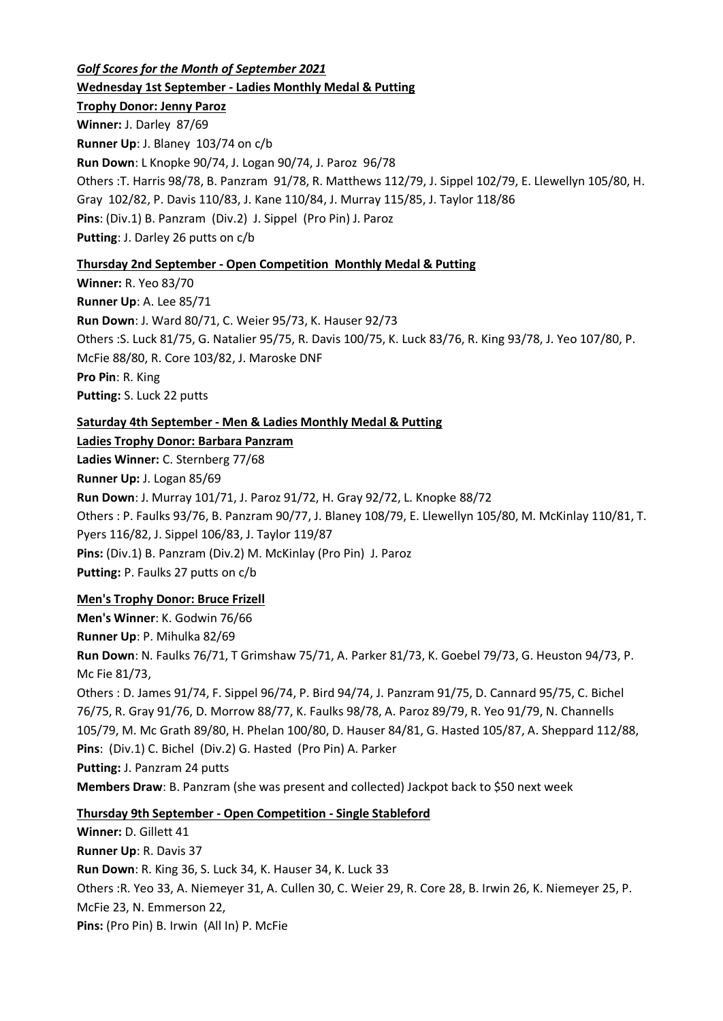*Golf Scores for the Month of September 2021*

**Wednesday 1st September - Ladies Monthly Medal & Putting**

### **Trophy Donor: Jenny Paroz**

**Winner:** J. Darley 87/69 **Runner Up**: J. Blaney 103/74 on c/b **Run Down**: L Knopke 90/74, J. Logan 90/74, J. Paroz 96/78 Others :T. Harris 98/78, B. Panzram 91/78, R. Matthews 112/79, J. Sippel 102/79, E. Llewellyn 105/80, H. Gray 102/82, P. Davis 110/83, J. Kane 110/84, J. Murray 115/85, J. Taylor 118/86 **Pins**: (Div.1) B. Panzram (Div.2) J. Sippel (Pro Pin) J. Paroz **Putting**: J. Darley 26 putts on c/b

## **Thursday 2nd September - Open Competition Monthly Medal & Putting**

**Winner:** R. Yeo 83/70 **Runner Up**: A. Lee 85/71 **Run Down**: J. Ward 80/71, C. Weier 95/73, K. Hauser 92/73 Others :S. Luck 81/75, G. Natalier 95/75, R. Davis 100/75, K. Luck 83/76, R. King 93/78, J. Yeo 107/80, P. McFie 88/80, R. Core 103/82, J. Maroske DNF **Pro Pin**: R. King **Putting:** S. Luck 22 putts

# **Saturday 4th September - Men & Ladies Monthly Medal & Putting**

**Ladies Trophy Donor: Barbara Panzram**

**Ladies Winner:** C. Sternberg 77/68

**Runner Up:** J. Logan 85/69

**Run Down**: J. Murray 101/71, J. Paroz 91/72, H. Gray 92/72, L. Knopke 88/72 Others : P. Faulks 93/76, B. Panzram 90/77, J. Blaney 108/79, E. Llewellyn 105/80, M. McKinlay 110/81, T. Pyers 116/82, J. Sippel 106/83, J. Taylor 119/87 **Pins:** (Div.1) B. Panzram (Div.2) M. McKinlay (Pro Pin) J. Paroz **Putting:** P. Faulks 27 putts on c/b

# **Men's Trophy Donor: Bruce Frizell**

**Men's Winner**: K. Godwin 76/66 **Runner Up**: P. Mihulka 82/69 **Run Down**: N. Faulks 76/71, T Grimshaw 75/71, A. Parker 81/73, K. Goebel 79/73, G. Heuston 94/73, P. Mc Fie 81/73, Others : D. James 91/74, F. Sippel 96/74, P. Bird 94/74, J. Panzram 91/75, D. Cannard 95/75, C. Bichel 76/75, R. Gray 91/76, D. Morrow 88/77, K. Faulks 98/78, A. Paroz 89/79, R. Yeo 91/79, N. Channells 105/79, M. Mc Grath 89/80, H. Phelan 100/80, D. Hauser 84/81, G. Hasted 105/87, A. Sheppard 112/88, **Pins**: (Div.1) C. Bichel (Div.2) G. Hasted (Pro Pin) A. Parker **Putting:** J. Panzram 24 putts **Members Draw**: B. Panzram (she was present and collected) Jackpot back to \$50 next week

# **Thursday 9th September - Open Competition - Single Stableford**

**Winner:** D. Gillett 41 **Runner Up**: R. Davis 37 **Run Down**: R. King 36, S. Luck 34, K. Hauser 34, K. Luck 33 Others :R. Yeo 33, A. Niemeyer 31, A. Cullen 30, C. Weier 29, R. Core 28, B. Irwin 26, K. Niemeyer 25, P. McFie 23, N. Emmerson 22, **Pins:** (Pro Pin) B. Irwin (All In) P. McFie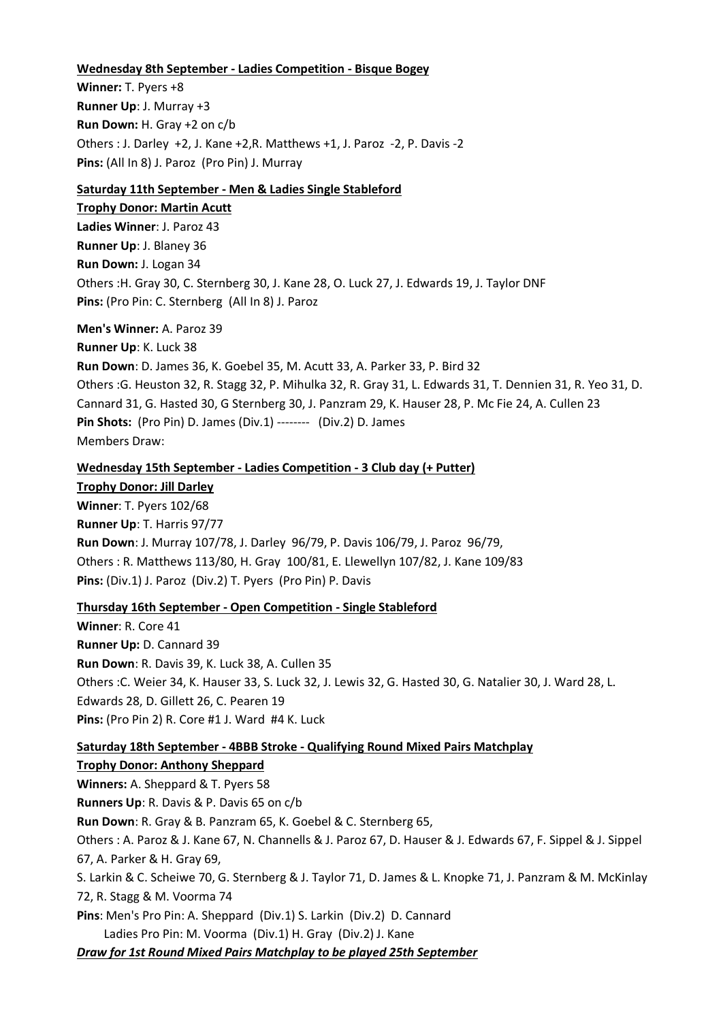#### **Wednesday 8th September - Ladies Competition - Bisque Bogey**

**Winner:** T. Pyers +8 **Runner Up**: J. Murray +3 **Run Down:** H. Gray +2 on c/b Others : J. Darley +2, J. Kane +2,R. Matthews +1, J. Paroz -2, P. Davis -2 **Pins:** (All In 8) J. Paroz (Pro Pin) J. Murray

### **Saturday 11th September - Men & Ladies Single Stableford**

**Trophy Donor: Martin Acutt Ladies Winner**: J. Paroz 43 **Runner Up**: J. Blaney 36 **Run Down:** J. Logan 34 Others :H. Gray 30, C. Sternberg 30, J. Kane 28, O. Luck 27, J. Edwards 19, J. Taylor DNF **Pins:** (Pro Pin: C. Sternberg (All In 8) J. Paroz

#### **Men's Winner:** A. Paroz 39

**Runner Up**: K. Luck 38 **Run Down**: D. James 36, K. Goebel 35, M. Acutt 33, A. Parker 33, P. Bird 32 Others :G. Heuston 32, R. Stagg 32, P. Mihulka 32, R. Gray 31, L. Edwards 31, T. Dennien 31, R. Yeo 31, D. Cannard 31, G. Hasted 30, G Sternberg 30, J. Panzram 29, K. Hauser 28, P. Mc Fie 24, A. Cullen 23 **Pin Shots:** (Pro Pin) D. James (Div.1) -------- (Div.2) D. James Members Draw:

#### **Wednesday 15th September - Ladies Competition - 3 Club day (+ Putter)**

**Trophy Donor: Jill Darley Winner**: T. Pyers 102/68 **Runner Up**: T. Harris 97/77 **Run Down**: J. Murray 107/78, J. Darley 96/79, P. Davis 106/79, J. Paroz 96/79, Others : R. Matthews 113/80, H. Gray 100/81, E. Llewellyn 107/82, J. Kane 109/83 **Pins:** (Div.1) J. Paroz (Div.2) T. Pyers (Pro Pin) P. Davis

#### **Thursday 16th September - Open Competition - Single Stableford**

**Winner**: R. Core 41 **Runner Up:** D. Cannard 39 **Run Down**: R. Davis 39, K. Luck 38, A. Cullen 35 Others :C. Weier 34, K. Hauser 33, S. Luck 32, J. Lewis 32, G. Hasted 30, G. Natalier 30, J. Ward 28, L. Edwards 28, D. Gillett 26, C. Pearen 19 **Pins:** (Pro Pin 2) R. Core #1 J. Ward #4 K. Luck

#### **Saturday 18th September - 4BBB Stroke - Qualifying Round Mixed Pairs Matchplay**

**Trophy Donor: Anthony Sheppard Winners:** A. Sheppard & T. Pyers 58 **Runners Up**: R. Davis & P. Davis 65 on c/b **Run Down**: R. Gray & B. Panzram 65, K. Goebel & C. Sternberg 65, Others : A. Paroz & J. Kane 67, N. Channells & J. Paroz 67, D. Hauser & J. Edwards 67, F. Sippel & J. Sippel 67, A. Parker & H. Gray 69, S. Larkin & C. Scheiwe 70, G. Sternberg & J. Taylor 71, D. James & L. Knopke 71, J. Panzram & M. McKinlay 72, R. Stagg & M. Voorma 74 **Pins**: Men's Pro Pin: A. Sheppard (Div.1) S. Larkin (Div.2) D. Cannard Ladies Pro Pin: M. Voorma (Div.1) H. Gray (Div.2) J. Kane *Draw for 1st Round Mixed Pairs Matchplay to be played 25th September*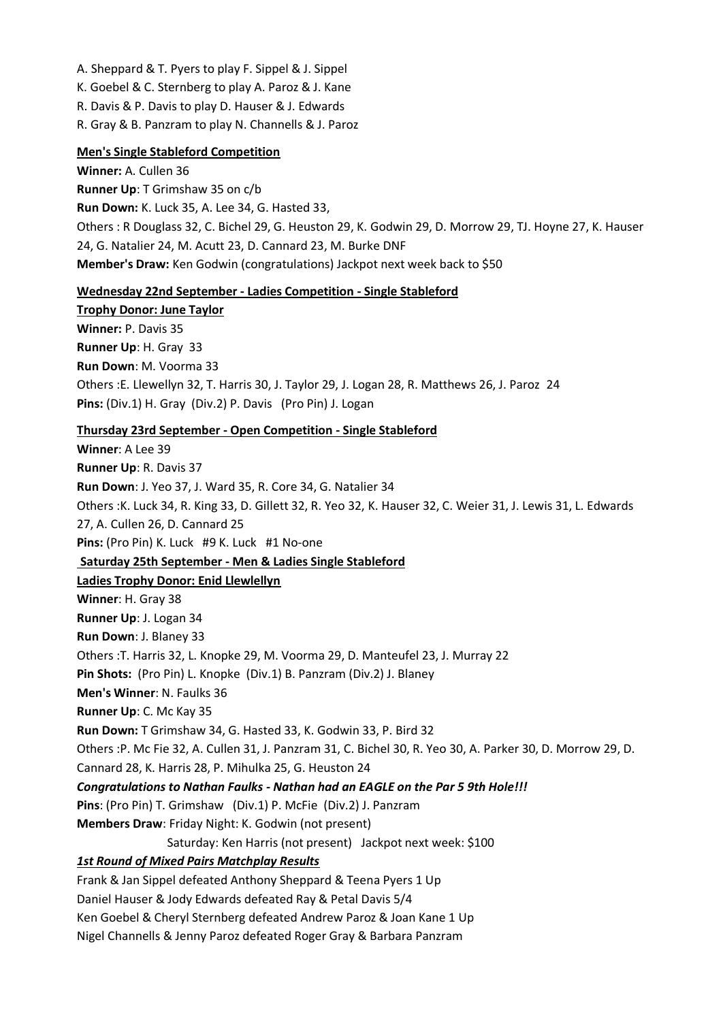- A. Sheppard & T. Pyers to play F. Sippel & J. Sippel
- K. Goebel & C. Sternberg to play A. Paroz & J. Kane
- R. Davis & P. Davis to play D. Hauser & J. Edwards
- R. Gray & B. Panzram to play N. Channells & J. Paroz

## **Men's Single Stableford Competition**

**Winner:** A. Cullen 36 **Runner Up**: T Grimshaw 35 on c/b **Run Down:** K. Luck 35, A. Lee 34, G. Hasted 33, Others : R Douglass 32, C. Bichel 29, G. Heuston 29, K. Godwin 29, D. Morrow 29, TJ. Hoyne 27, K. Hauser 24, G. Natalier 24, M. Acutt 23, D. Cannard 23, M. Burke DNF **Member's Draw:** Ken Godwin (congratulations) Jackpot next week back to \$50

### **Wednesday 22nd September - Ladies Competition - Single Stableford**

**Trophy Donor: June Taylor Winner:** P. Davis 35 **Runner Up**: H. Gray 33 **Run Down**: M. Voorma 33 Others :E. Llewellyn 32, T. Harris 30, J. Taylor 29, J. Logan 28, R. Matthews 26, J. Paroz 24 **Pins:** (Div.1) H. Gray (Div.2) P. Davis (Pro Pin) J. Logan

## **Thursday 23rd September - Open Competition - Single Stableford**

**Winner**: A Lee 39 **Runner Up**: R. Davis 37 **Run Down**: J. Yeo 37, J. Ward 35, R. Core 34, G. Natalier 34 Others :K. Luck 34, R. King 33, D. Gillett 32, R. Yeo 32, K. Hauser 32, C. Weier 31, J. Lewis 31, L. Edwards 27, A. Cullen 26, D. Cannard 25 **Pins:** (Pro Pin) K. Luck #9 K. Luck #1 No-one **Saturday 25th September - Men & Ladies Single Stableford Ladies Trophy Donor: Enid Llewlellyn Winner**: H. Gray 38 **Runner Up**: J. Logan 34 **Run Down**: J. Blaney 33 Others :T. Harris 32, L. Knopke 29, M. Voorma 29, D. Manteufel 23, J. Murray 22 **Pin Shots:** (Pro Pin) L. Knopke (Div.1) B. Panzram (Div.2) J. Blaney **Men's Winner**: N. Faulks 36 **Runner Up**: C. Mc Kay 35 **Run Down:** T Grimshaw 34, G. Hasted 33, K. Godwin 33, P. Bird 32 Others :P. Mc Fie 32, A. Cullen 31, J. Panzram 31, C. Bichel 30, R. Yeo 30, A. Parker 30, D. Morrow 29, D. Cannard 28, K. Harris 28, P. Mihulka 25, G. Heuston 24 *Congratulations to Nathan Faulks - Nathan had an EAGLE on the Par 5 9th Hole!!!* **Pins**: (Pro Pin) T. Grimshaw (Div.1) P. McFie (Div.2) J. Panzram **Members Draw**: Friday Night: K. Godwin (not present) Saturday: Ken Harris (not present) Jackpot next week: \$100 *1st Round of Mixed Pairs Matchplay Results* Frank & Jan Sippel defeated Anthony Sheppard & Teena Pyers 1 Up Daniel Hauser & Jody Edwards defeated Ray & Petal Davis 5/4 Ken Goebel & Cheryl Sternberg defeated Andrew Paroz & Joan Kane 1 Up

Nigel Channells & Jenny Paroz defeated Roger Gray & Barbara Panzram